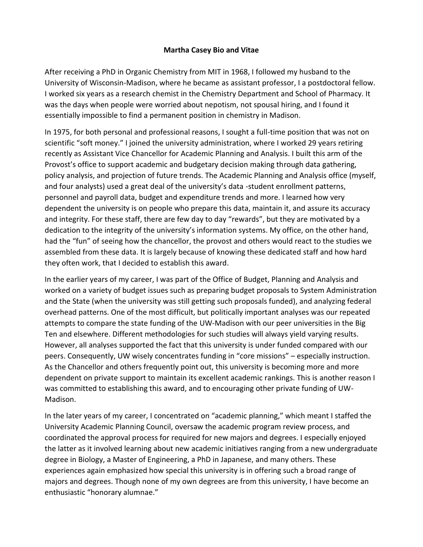## **Martha Casey Bio and Vitae**

After receiving a PhD in Organic Chemistry from MIT in 1968, I followed my husband to the University of Wisconsin-Madison, where he became as assistant professor, I a postdoctoral fellow. I worked six years as a research chemist in the Chemistry Department and School of Pharmacy. It was the days when people were worried about nepotism, not spousal hiring, and I found it essentially impossible to find a permanent position in chemistry in Madison.

In 1975, for both personal and professional reasons, I sought a full-time position that was not on scientific "soft money." I joined the university administration, where I worked 29 years retiring recently as Assistant Vice Chancellor for Academic Planning and Analysis. I built this arm of the Provost's office to support academic and budgetary decision making through data gathering, policy analysis, and projection of future trends. The Academic Planning and Analysis office (myself, and four analysts) used a great deal of the university's data -student enrollment patterns, personnel and payroll data, budget and expenditure trends and more. I learned how very dependent the university is on people who prepare this data, maintain it, and assure its accuracy and integrity. For these staff, there are few day to day "rewards", but they are motivated by a dedication to the integrity of the university's information systems. My office, on the other hand, had the "fun" of seeing how the chancellor, the provost and others would react to the studies we assembled from these data. It is largely because of knowing these dedicated staff and how hard they often work, that I decided to establish this award.

In the earlier years of my career, I was part of the Office of Budget, Planning and Analysis and worked on a variety of budget issues such as preparing budget proposals to System Administration and the State (when the university was still getting such proposals funded), and analyzing federal overhead patterns. One of the most difficult, but politically important analyses was our repeated attempts to compare the state funding of the UW-Madison with our peer universities in the Big Ten and elsewhere. Different methodologies for such studies will always yield varying results. However, all analyses supported the fact that this university is under funded compared with our peers. Consequently, UW wisely concentrates funding in "core missions" – especially instruction. As the Chancellor and others frequently point out, this university is becoming more and more dependent on private support to maintain its excellent academic rankings. This is another reason I was committed to establishing this award, and to encouraging other private funding of UW-Madison.

In the later years of my career, I concentrated on "academic planning," which meant I staffed the University Academic Planning Council, oversaw the academic program review process, and coordinated the approval process for required for new majors and degrees. I especially enjoyed the latter as it involved learning about new academic initiatives ranging from a new undergraduate degree in Biology, a Master of Engineering, a PhD in Japanese, and many others. These experiences again emphasized how special this university is in offering such a broad range of majors and degrees. Though none of my own degrees are from this university, I have become an enthusiastic "honorary alumnae."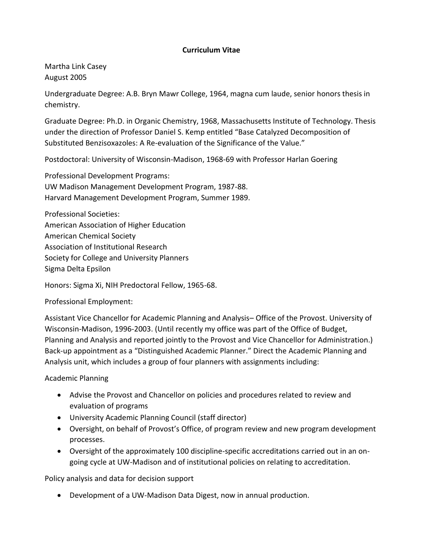## **Curriculum Vitae**

Martha Link Casey August 2005

Undergraduate Degree: A.B. Bryn Mawr College, 1964, magna cum laude, senior honors thesis in chemistry.

Graduate Degree: Ph.D. in Organic Chemistry, 1968, Massachusetts Institute of Technology. Thesis under the direction of Professor Daniel S. Kemp entitled "Base Catalyzed Decomposition of Substituted Benzisoxazoles: A Re-evaluation of the Significance of the Value."

Postdoctoral: University of Wisconsin-Madison, 1968-69 with Professor Harlan Goering

Professional Development Programs: UW Madison Management Development Program, 1987-88. Harvard Management Development Program, Summer 1989.

Professional Societies: American Association of Higher Education American Chemical Society Association of Institutional Research Society for College and University Planners Sigma Delta Epsilon

Honors: Sigma Xi, NIH Predoctoral Fellow, 1965-68.

Professional Employment:

Assistant Vice Chancellor for Academic Planning and Analysis– Office of the Provost. University of Wisconsin-Madison, 1996-2003. (Until recently my office was part of the Office of Budget, Planning and Analysis and reported jointly to the Provost and Vice Chancellor for Administration.) Back-up appointment as a "Distinguished Academic Planner." Direct the Academic Planning and Analysis unit, which includes a group of four planners with assignments including:

Academic Planning

- Advise the Provost and Chancellor on policies and procedures related to review and evaluation of programs
- University Academic Planning Council (staff director)
- Oversight, on behalf of Provost's Office, of program review and new program development processes.
- Oversight of the approximately 100 discipline-specific accreditations carried out in an ongoing cycle at UW-Madison and of institutional policies on relating to accreditation.

Policy analysis and data for decision support

• Development of a UW-Madison Data Digest, now in annual production.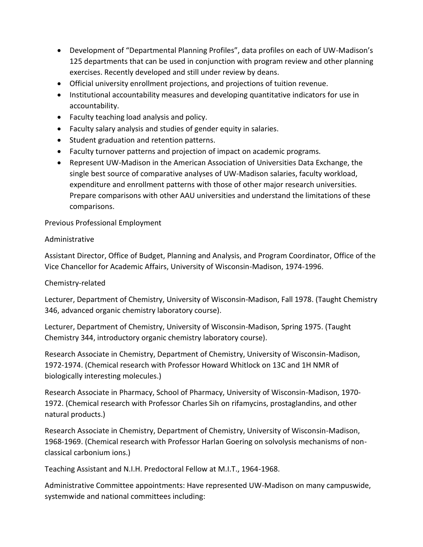- Development of "Departmental Planning Profiles", data profiles on each of UW-Madison's 125 departments that can be used in conjunction with program review and other planning exercises. Recently developed and still under review by deans.
- Official university enrollment projections, and projections of tuition revenue.
- Institutional accountability measures and developing quantitative indicators for use in accountability.
- Faculty teaching load analysis and policy.
- Faculty salary analysis and studies of gender equity in salaries.
- Student graduation and retention patterns.
- Faculty turnover patterns and projection of impact on academic programs.
- Represent UW-Madison in the American Association of Universities Data Exchange, the single best source of comparative analyses of UW-Madison salaries, faculty workload, expenditure and enrollment patterns with those of other major research universities. Prepare comparisons with other AAU universities and understand the limitations of these comparisons.

Previous Professional Employment

## Administrative

Assistant Director, Office of Budget, Planning and Analysis, and Program Coordinator, Office of the Vice Chancellor for Academic Affairs, University of Wisconsin-Madison, 1974-1996.

## Chemistry-related

Lecturer, Department of Chemistry, University of Wisconsin-Madison, Fall 1978. (Taught Chemistry 346, advanced organic chemistry laboratory course).

Lecturer, Department of Chemistry, University of Wisconsin-Madison, Spring 1975. (Taught Chemistry 344, introductory organic chemistry laboratory course).

Research Associate in Chemistry, Department of Chemistry, University of Wisconsin-Madison, 1972-1974. (Chemical research with Professor Howard Whitlock on 13C and 1H NMR of biologically interesting molecules.)

Research Associate in Pharmacy, School of Pharmacy, University of Wisconsin-Madison, 1970- 1972. (Chemical research with Professor Charles Sih on rifamycins, prostaglandins, and other natural products.)

Research Associate in Chemistry, Department of Chemistry, University of Wisconsin-Madison, 1968-1969. (Chemical research with Professor Harlan Goering on solvolysis mechanisms of nonclassical carbonium ions.)

Teaching Assistant and N.I.H. Predoctoral Fellow at M.I.T., 1964-1968.

Administrative Committee appointments: Have represented UW-Madison on many campuswide, systemwide and national committees including: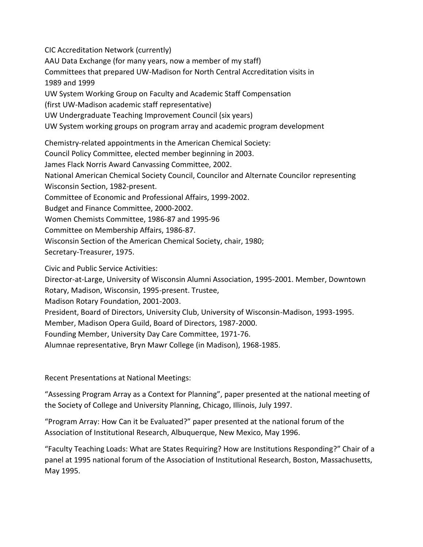CIC Accreditation Network (currently) AAU Data Exchange (for many years, now a member of my staff) Committees that prepared UW-Madison for North Central Accreditation visits in 1989 and 1999 UW System Working Group on Faculty and Academic Staff Compensation (first UW-Madison academic staff representative) UW Undergraduate Teaching Improvement Council (six years) UW System working groups on program array and academic program development Chemistry-related appointments in the American Chemical Society: Council Policy Committee, elected member beginning in 2003. James Flack Norris Award Canvassing Committee, 2002. National American Chemical Society Council, Councilor and Alternate Councilor representing Wisconsin Section, 1982-present. Committee of Economic and Professional Affairs, 1999-2002. Budget and Finance Committee, 2000-2002. Women Chemists Committee, 1986-87 and 1995-96 Committee on Membership Affairs, 1986-87. Wisconsin Section of the American Chemical Society, chair, 1980;

Secretary-Treasurer, 1975.

Civic and Public Service Activities:

Director-at-Large, University of Wisconsin Alumni Association, 1995-2001. Member, Downtown

Rotary, Madison, Wisconsin, 1995-present. Trustee,

Madison Rotary Foundation, 2001-2003.

President, Board of Directors, University Club, University of Wisconsin-Madison, 1993-1995.

Member, Madison Opera Guild, Board of Directors, 1987-2000.

Founding Member, University Day Care Committee, 1971-76.

Alumnae representative, Bryn Mawr College (in Madison), 1968-1985.

Recent Presentations at National Meetings:

"Assessing Program Array as a Context for Planning", paper presented at the national meeting of the Society of College and University Planning, Chicago, Illinois, July 1997.

"Program Array: How Can it be Evaluated?" paper presented at the national forum of the Association of Institutional Research, Albuquerque, New Mexico, May 1996.

"Faculty Teaching Loads: What are States Requiring? How are Institutions Responding?" Chair of a panel at 1995 national forum of the Association of Institutional Research, Boston, Massachusetts, May 1995.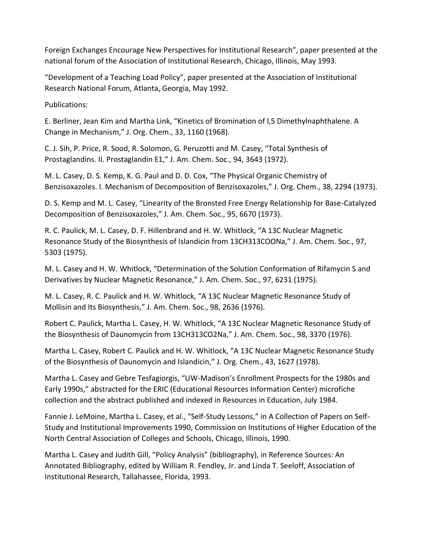Foreign Exchanges Encourage New Perspectives for Institutional Research", paper presented at the national forum of the Association of Institutional Research, Chicago, Illinois, May 1993.

"Development of a Teaching Load Policy", paper presented at the Association of Institutional Research National Forum, Atlanta, Georgia, May 1992.

Publications:

E. Berliner, Jean Kim and Martha Link, "Kinetics of Bromination of l,5 Dimethylnaphthalene. A Change in Mechanism," J. Org. Chem., 33, 1160 (1968).

C. J. Sih, P. Price, R. Sood, R. Solomon, G. Peruzotti and M. Casey, "Total Synthesis of Prostaglandins. II. Prostaglandin E1," J. Am. Chem. Soc., 94, 3643 (1972).

M. L. Casey, D. S. Kemp, K. G. Paul and D. D. Cox, "The Physical Organic Chemistry of Benzisoxazoles. I. Mechanism of Decomposition of Benzisoxazoles," J. Org. Chem., 38, 2294 (1973).

D. S. Kemp and M. L. Casey, "Linearity of the Bronsted Free Energy Relationship for Base-Catalyzed Decomposition of Benzisoxazoles," J. Am. Chem. Soc., 95, 6670 (1973).

R. C. Paulick, M. L. Casey, D. F. Hillenbrand and H. W. Whitlock, "A 13C Nuclear Magnetic Resonance Study of the Biosynthesis of Islandicin from 13CH313COONa," J. Am. Chem. Soc., 97, 5303 (1975).

M. L. Casey and H. W. Whitlock, "Determination of the Solution Conformation of Rifamycin S and Derivatives by Nuclear Magnetic Resonance," J. Am. Chem. Soc., 97, 6231 (1975).

M. L. Casey, R. C. Paulick and H. W. Whitlock, "A 13C Nuclear Magnetic Resonance Study of Mollisin and Its Biosynthesis," J. Am. Chem. Soc., 98, 2636 (1976).

Robert C. Paulick, Martha L. Casey, H. W. Whitlock, "A 13C Nuclear Magnetic Resonance Study of the Biosynthesis of Daunomycin from 13CH313CO2Na," J. Am. Chem. Soc., 98, 3370 (1976).

Martha L. Casey, Robert C. Paulick and H. W. Whitlock, "A 13C Nuclear Magnetic Resonance Study of the Biosynthesis of Daunomycin and Islandicin," J. Org. Chem., 43, 1627 (1978).

Martha L. Casey and Gebre Tesfagiorgis, "UW-Madison's Enrollment Prospects for the 1980s and Early 1990s," abstracted for the ERIC (Educational Resources Information Center) microfiche collection and the abstract published and indexed in Resources in Education, July 1984.

Fannie J. LeMoine, Martha L. Casey, et al., "Self-Study Lessons," in A Collection of Papers on Self-Study and Institutional Improvements 1990, Commission on Institutions of Higher Education of the North Central Association of Colleges and Schools, Chicago, Illinois, 1990.

Martha L. Casey and Judith Gill, "Policy Analysis" (bibliography), in Reference Sources: An Annotated Bibliography, edited by William R. Fendley, Jr. and Linda T. Seeloff, Association of Institutional Research, Tallahassee, Florida, 1993.